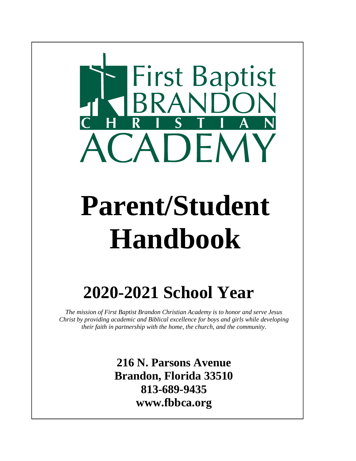

# **Parent/Student Handbook**

# **2020-2021 School Year**

*The mission of First Baptist Brandon Christian Academy is to honor and serve Jesus Christ by providing academic and Biblical excellence for boys and girls while developing their faith in partnership with the home, the church, and the community*.

> **216 N. Parsons Avenue Brandon, Florida 33510 813-689-9435 www.fbbca.org**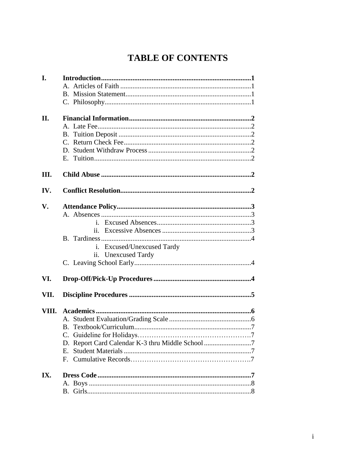# **TABLE OF CONTENTS**

| I.   |                                                  |  |
|------|--------------------------------------------------|--|
|      |                                                  |  |
|      |                                                  |  |
|      |                                                  |  |
| II.  |                                                  |  |
|      |                                                  |  |
|      |                                                  |  |
|      |                                                  |  |
|      |                                                  |  |
|      |                                                  |  |
| III. |                                                  |  |
| IV.  |                                                  |  |
| V.   |                                                  |  |
|      |                                                  |  |
|      |                                                  |  |
|      |                                                  |  |
|      |                                                  |  |
|      | i. Excused/Unexcused Tardy                       |  |
|      | ii. Unexcused Tardy                              |  |
|      |                                                  |  |
| VI.  |                                                  |  |
| VII. |                                                  |  |
|      |                                                  |  |
|      |                                                  |  |
|      |                                                  |  |
|      |                                                  |  |
|      | D. Report Card Calendar K-3 thru Middle School 7 |  |
|      | $E_{\cdot}$                                      |  |
|      | $F_{\cdot}$                                      |  |
| IX.  |                                                  |  |
|      |                                                  |  |
|      |                                                  |  |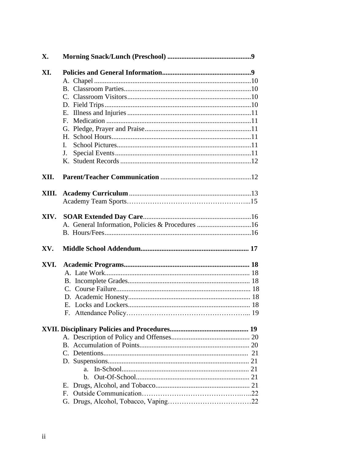| X.   |                                                  |  |
|------|--------------------------------------------------|--|
| XI.  |                                                  |  |
|      |                                                  |  |
|      |                                                  |  |
|      |                                                  |  |
|      |                                                  |  |
|      |                                                  |  |
|      | Е.                                               |  |
|      |                                                  |  |
|      |                                                  |  |
|      | L.                                               |  |
|      | J.                                               |  |
|      |                                                  |  |
| XII. |                                                  |  |
|      |                                                  |  |
|      |                                                  |  |
|      |                                                  |  |
| XIV. |                                                  |  |
|      | A. General Information, Policies & Procedures 16 |  |
|      |                                                  |  |
| XV.  |                                                  |  |
| XVI. |                                                  |  |
|      |                                                  |  |
|      |                                                  |  |
|      |                                                  |  |
|      |                                                  |  |
|      |                                                  |  |
|      |                                                  |  |
|      |                                                  |  |
|      |                                                  |  |
|      |                                                  |  |
|      |                                                  |  |
|      |                                                  |  |
|      | $a_{-}$                                          |  |
|      | $\mathbf{b}$ .                                   |  |
|      |                                                  |  |
|      | Е.                                               |  |
|      |                                                  |  |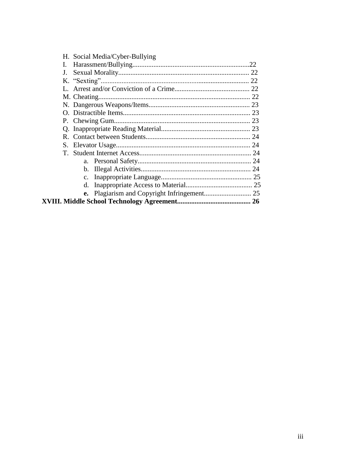| H. Social Media/Cyber-Bullying |  |
|--------------------------------|--|
| I.                             |  |
|                                |  |
|                                |  |
|                                |  |
|                                |  |
|                                |  |
|                                |  |
|                                |  |
|                                |  |
|                                |  |
|                                |  |
|                                |  |
|                                |  |
|                                |  |
|                                |  |
|                                |  |
|                                |  |
|                                |  |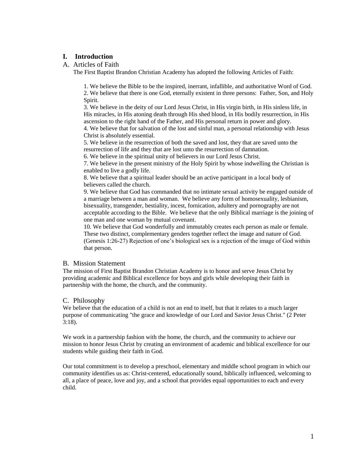## **I. Introduction**

#### A. Articles of Faith

The First Baptist Brandon Christian Academy has adopted the following Articles of Faith:

1. We believe the Bible to be the inspired, inerrant, infallible, and authoritative Word of God. 2. We believe that there is one God, eternally existent in three persons: Father, Son, and Holy Spirit.

3. We believe in the deity of our Lord Jesus Christ, in His virgin birth, in His sinless life, in His miracles, in His atoning death through His shed blood, in His bodily resurrection, in His ascension to the right hand of the Father, and His personal return in power and glory.

4. We believe that for salvation of the lost and sinful man, a personal relationship with Jesus Christ is absolutely essential.

5. We believe in the resurrection of both the saved and lost, they that are saved unto the resurrection of life and they that are lost unto the resurrection of damnation.

6. We believe in the spiritual unity of believers in our Lord Jesus Christ.

7. We believe in the present ministry of the Holy Spirit by whose indwelling the Christian is enabled to live a godly life.

8. We believe that a spiritual leader should be an active participant in a local body of believers called the church.

9. We believe that God has commanded that no intimate sexual activity be engaged outside of a marriage between a man and woman. We believe any form of homosexuality, lesbianism, bisexuality, transgender, bestiality, incest, fornication, adultery and pornography are not acceptable according to the Bible. We believe that the only Biblical marriage is the joining of one man and one woman by mutual covenant.

10. We believe that God wonderfully and immutably creates each person as male or female. These two distinct, complementary genders together reflect the image and nature of God. (Genesis 1:26-27) Rejection of one's biological sex is a rejection of the image of God within that person.

#### B. Mission Statement

The mission of First Baptist Brandon Christian Academy is to honor and serve Jesus Christ by providing academic and Biblical excellence for boys and girls while developing their faith in partnership with the home, the church, and the community.

#### C. Philosophy

We believe that the education of a child is not an end to itself, but that it relates to a much larger purpose of communicating "the grace and knowledge of our Lord and Savior Jesus Christ." (2 Peter 3:18).

We work in a partnership fashion with the home, the church, and the community to achieve our mission to honor Jesus Christ by creating an environment of academic and biblical excellence for our students while guiding their faith in God.

Our total commitment is to develop a preschool, elementary and middle school program in which our community identifies us as: Christ-centered, educationally sound, biblically influenced, welcoming to all, a place of peace, love and joy, and a school that provides equal opportunities to each and every child.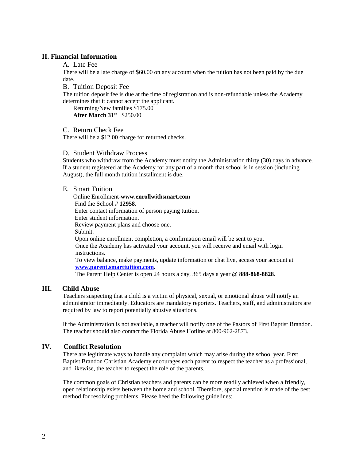#### **II. Financial Information**

A. Late Fee

There will be a late charge of \$60.00 on any account when the tuition has not been paid by the due date.

B. Tuition Deposit Fee

The tuition deposit fee is due at the time of registration and is non-refundable unless the Academy determines that it cannot accept the applicant.

Returning/New families \$175.00 **After March 31st** \$250.00

C. Return Check Fee

There will be a \$12.00 charge for returned checks.

#### D. Student Withdraw Process

Students who withdraw from the Academy must notify the Administration thirty (30) days in advance. If a student registered at the Academy for any part of a month that school is in session (including August), the full month tuition installment is due.

#### E. Smart Tuition

Online Enrollment**-www.enrollwithsmart.com** Find the School # **12958.** Enter contact information of person paying tuition. Enter student information. Review payment plans and choose one. Submit. Upon online enrollment completion, a confirmation email will be sent to you. Once the Academy has activated your account, you will receive and email with login instructions. To view balance, make payments, update information or chat live, access your account at **[www.parent.smarttuition.com.](http://www.parent.smarttuition.com/)** The Parent Help Center is open 24 hours a day, 365 days a year @ **888-868-8828**.

#### **III. Child Abuse**

Teachers suspecting that a child is a victim of physical, sexual, or emotional abuse will notify an administrator immediately. Educators are mandatory reporters. Teachers, staff, and administrators are required by law to report potentially abusive situations.

If the Administration is not available, a teacher will notify one of the Pastors of First Baptist Brandon. The teacher should also contact the Florida Abuse Hotline at 800-962-2873.

#### **IV. Conflict Resolution**

There are legitimate ways to handle any complaint which may arise during the school year. First Baptist Brandon Christian Academy encourages each parent to respect the teacher as a professional, and likewise, the teacher to respect the role of the parents.

The common goals of Christian teachers and parents can be more readily achieved when a friendly, open relationship exists between the home and school. Therefore, special mention is made of the best method for resolving problems. Please heed the following guidelines: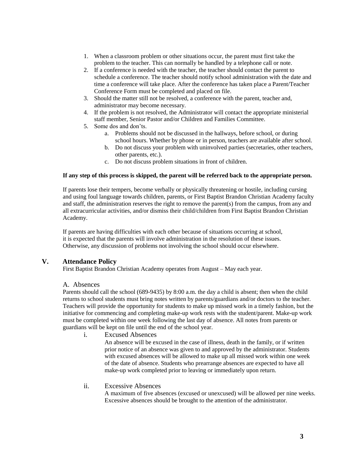- 1. When a classroom problem or other situations occur, the parent must first take the problem to the teacher. This can normally be handled by a telephone call or note.
- 2. If a conference is needed with the teacher, the teacher should contact the parent to schedule a conference. The teacher should notify school administration with the date and time a conference will take place. After the conference has taken place a Parent/Teacher Conference Form must be completed and placed on file.
- 3. Should the matter still not be resolved, a conference with the parent, teacher and, administrator may become necessary.
- 4. If the problem is not resolved, the Administrator will contact the appropriate ministerial staff member, Senior Pastor and/or Children and Families Committee.
- 5. Some dos and don'ts.
	- a. Problems should not be discussed in the hallways, before school, or during school hours. Whether by phone or in person, teachers are available after school.
	- b. Do not discuss your problem with uninvolved parties (secretaries, other teachers, other parents, etc.).
	- c. Do not discuss problem situations in front of children.

#### **If any step of this process is skipped, the parent will be referred back to the appropriate person.**

If parents lose their tempers, become verbally or physically threatening or hostile, including cursing and using foul language towards children, parents, or First Baptist Brandon Christian Academy faculty and staff, the administration reserves the right to remove the parent(s) from the campus, from any and all extracurricular activities, and/or dismiss their child/children from First Baptist Brandon Christian Academy.

If parents are having difficulties with each other because of situations occurring at school, it is expected that the parents will involve administration in the resolution of these issues. Otherwise, any discussion of problems not involving the school should occur elsewhere.

#### **V. Attendance Policy**

First Baptist Brandon Christian Academy operates from August – May each year.

#### A. Absences

Parents should call the school (689-9435) by 8:00 a.m. the day a child is absent; then when the child returns to school students must bring notes written by parents/guardians and/or doctors to the teacher. Teachers will provide the opportunity for students to make up missed work in a timely fashion, but the initiative for commencing and completing make-up work rests with the student/parent. Make-up work must be completed within one week following the last day of absence. All notes from parents or guardians will be kept on file until the end of the school year.

i. Excused Absences

An absence will be excused in the case of illness, death in the family, or if written prior notice of an absence was given to and approved by the administrator. Students with excused absences will be allowed to make up all missed work within one week of the date of absence. Students who prearrange absences are expected to have all make-up work completed prior to leaving or immediately upon return.

#### ii. Excessive Absences

A maximum of five absences (excused or unexcused) will be allowed per nine weeks. Excessive absences should be brought to the attention of the administrator.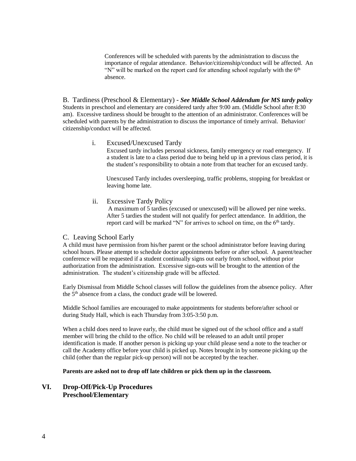Conferences will be scheduled with parents by the administration to discuss the importance of regular attendance. Behavior/citizenship/conduct will be affected. An "N" will be marked on the report card for attending school regularly with the  $6<sup>th</sup>$ absence.

B. Tardiness (Preschool & Elementary) - *See Middle School Addendum for MS tardy policy* Students in preschool and elementary are considered tardy after 9:00 am. (Middle School after 8:30 am). Excessive tardiness should be brought to the attention of an administrator. Conferences will be scheduled with parents by the administration to discuss the importance of timely arrival. Behavior/ citizenship/conduct will be affected.

#### i. Excused/Unexcused Tardy

Excused tardy includes personal sickness, family emergency or road emergency. If a student is late to a class period due to being held up in a previous class period, it is the student's responsibility to obtain a note from that teacher for an excused tardy.

 Unexcused Tardy includes oversleeping, traffic problems, stopping for breakfast or leaving home late.

#### ii. Excessive Tardy Policy

 A maximum of 5 tardies (excused or unexcused) will be allowed per nine weeks. After 5 tardies the student will not qualify for perfect attendance. In addition, the report card will be marked "N" for arrives to school on time, on the  $6<sup>th</sup>$  tardy.

#### C. Leaving School Early

A child must have permission from his/her parent or the school administrator before leaving during school hours. Please attempt to schedule doctor appointments before or after school. A parent/teacher conference will be requested if a student continually signs out early from school, without prior authorization from the administration. Excessive sign-outs will be brought to the attention of the administration. The student's citizenship grade will be affected.

Early Dismissal from Middle School classes will follow the guidelines from the absence policy. After the 5th absence from a class, the conduct grade will be lowered.

Middle School families are encouraged to make appointments for students before/after school or during Study Hall, which is each Thursday from 3:05-3:50 p.m.

When a child does need to leave early, the child must be signed out of the school office and a staff member will bring the child to the office. No child will be released to an adult until proper identification is made. If another person is picking up your child please send a note to the teacher or call the Academy office before your child is picked up. Notes brought in by someone picking up the child (other than the regular pick-up person) will not be accepted by the teacher.

#### **Parents are asked not to drop off late children or pick them up in the classroom.**

#### **VI. Drop-Off/Pick-Up Procedures Preschool/Elementary**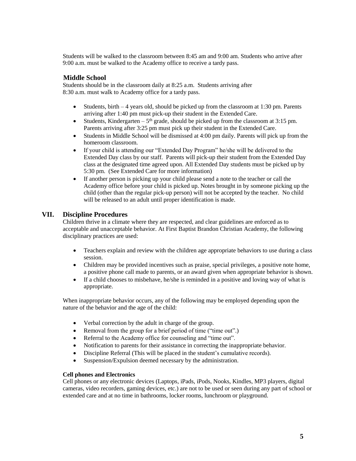Students will be walked to the classroom between 8:45 am and 9:00 am. Students who arrive after 9:00 a.m. must be walked to the Academy office to receive a tardy pass.

#### **Middle School**

Students should be in the classroom daily at 8:25 a.m. Students arriving after 8:30 a.m. must walk to Academy office for a tardy pass.

- Students, birth  $-4$  years old, should be picked up from the classroom at 1:30 pm. Parents arriving after 1:40 pm must pick-up their student in the Extended Care.
- Students, Kindergarten  $-5<sup>th</sup>$  grade, should be picked up from the classroom at 3:15 pm. Parents arriving after 3:25 pm must pick up their student in the Extended Care.
- Students in Middle School will be dismissed at 4:00 pm daily. Parents will pick up from the homeroom classroom.
- If your child is attending our "Extended Day Program" he/she will be delivered to the Extended Day class by our staff. Parents will pick-up their student from the Extended Day class at the designated time agreed upon. All Extended Day students must be picked up by 5:30 pm. (See Extended Care for more information)
- If another person is picking up your child please send a note to the teacher or call the Academy office before your child is picked up. Notes brought in by someone picking up the child (other than the regular pick-up person) will not be accepted by the teacher. No child will be released to an adult until proper identification is made.

#### **VII. Discipline Procedures**

Children thrive in a climate where they are respected, and clear guidelines are enforced as to acceptable and unacceptable behavior. At First Baptist Brandon Christian Academy, the following disciplinary practices are used:

- Teachers explain and review with the children age appropriate behaviors to use during a class session.
- Children may be provided incentives such as praise, special privileges, a positive note home, a positive phone call made to parents, or an award given when appropriate behavior is shown.
- If a child chooses to misbehave, he/she is reminded in a positive and loving way of what is appropriate.

When inappropriate behavior occurs, any of the following may be employed depending upon the nature of the behavior and the age of the child:

- Verbal correction by the adult in charge of the group.
- Removal from the group for a brief period of time ("time out".)
- Referral to the Academy office for counseling and "time out".
- Notification to parents for their assistance in correcting the inappropriate behavior.
- Discipline Referral (This will be placed in the student's cumulative records).
- Suspension/Expulsion deemed necessary by the administration.

#### **Cell phones and Electronics**

Cell phones or any electronic devices (Laptops, iPads, iPods, Nooks, Kindles, MP3 players, digital cameras, video recorders, gaming devices, etc.) are not to be used or seen during any part of school or extended care and at no time in bathrooms, locker rooms, lunchroom or playground.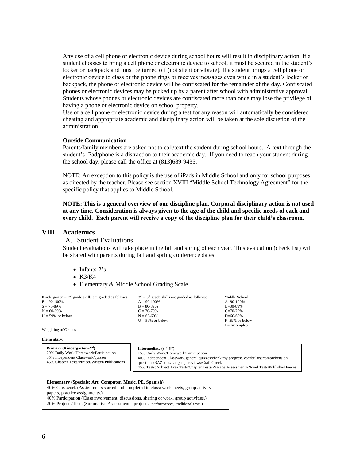Any use of a cell phone or electronic device during school hours will result in disciplinary action. If a student chooses to bring a cell phone or electronic device to school, it must be secured in the student's locker or backpack and must be turned off (not silent or vibrate). If a student brings a cell phone or electronic device to class or the phone rings or receives messages even while in a student's locker or backpack, the phone or electronic device will be confiscated for the remainder of the day. Confiscated phones or electronic devices may be picked up by a parent after school with administrative approval. Students whose phones or electronic devices are confiscated more than once may lose the privilege of having a phone or electronic device on school property.

Use of a cell phone or electronic device during a test for any reason will automatically be considered cheating and appropriate academic and disciplinary action will be taken at the sole discretion of the administration.

#### **Outside Communication**

Parents/family members are asked not to call/text the student during school hours. A text through the student's iPad/phone is a distraction to their academic day. If you need to reach your student during the school day, please call the office at (813)689-9435.

NOTE: An exception to this policy is the use of iPads in Middle School and only for school purposes as directed by the teacher. Please see section XVIII "Middle School Technology Agreement" for the specific policy that applies to Middle School.

**NOTE: This is a general overview of our discipline plan. Corporal disciplinary action is not used at any time. Consideration is always given to the age of the child and specific needs of each and every child. Each parent will receive a copy of the discipline plan for their child's classroom.**

#### **VIII. Academics**

A. Student Evaluations

Student evaluations will take place in the fall and spring of each year. This evaluation (check list) will be shared with parents during fall and spring conference dates.

Middle School<br>A=90-100%

F=59% or below  $I = Incomplete$ 

- Infants-2's
- $\bullet$  K3/K4
- Elementary & Middle School Grading Scale

| Kindergarten – $2nd$ grade skills are graded as follows: | $3rd - 5th$ grade skills are graded as follows: | Middle Scho    |
|----------------------------------------------------------|-------------------------------------------------|----------------|
| $E = 90-100%$                                            | $A = 90-100\%$                                  | $A=90-100%$    |
| $S = 70 - 89\%$                                          | $B = 80 - 89\%$                                 | $B = 80 - 89%$ |
| $N = 60-69%$                                             | $C = 70-79%$                                    | $C = 70-79%$   |
| $U = 59\%$ or below                                      | $N = 60-69%$                                    | $D=60-69\%$    |
|                                                          | $U = 59\%$ or below                             | $F=59\%$ or be |

Weighting of Grades

#### **Elementary:**

| Primary (Kindergarten-2 <sup>nd</sup> )<br>20% Daily Work/Homework/Participation<br>35% Independent Classwork/quizzes<br>45% Chapter Tests/Project/Written Publications | Intermediate $(3rd-5th)$<br>15% Daily Work/Homework/Participation<br>40% Independent Classwork/general quizzes/check my progress/vocabulary/comprehension<br>questions/RAZ kids/Language reviews/Craft Checks<br>45% Tests: Subject Area Tests/Chapter Tests/Passage Assessments/Novel Tests/Published Pieces |
|-------------------------------------------------------------------------------------------------------------------------------------------------------------------------|---------------------------------------------------------------------------------------------------------------------------------------------------------------------------------------------------------------------------------------------------------------------------------------------------------------|
|-------------------------------------------------------------------------------------------------------------------------------------------------------------------------|---------------------------------------------------------------------------------------------------------------------------------------------------------------------------------------------------------------------------------------------------------------------------------------------------------------|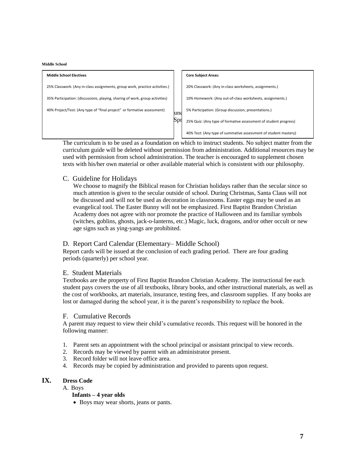#### **Middle School**

| <b>Middle School Electives</b>                                               |     | <b>Core Subject Areas:</b>                                       |
|------------------------------------------------------------------------------|-----|------------------------------------------------------------------|
| 25% Classwork: (Any in-class assignments, group work, practice activities.)  |     | 20% Classwork: (Any in-class worksheets, assignments.)           |
| 35% Participation: (discussions, playing, sharing of work, group activities) |     | 10% Homework: (Any out-of-class worksheets, assignments.)        |
| 40% Project/Test: (Any type of "final project" or formative assessment)      | uno | 5% Participation: (Group discussion, presentations.)             |
|                                                                              | Spr | 25% Quiz: (Any type of formative assessment of student progress) |
|                                                                              |     | 40% Test: (Any type of summative assessment of student mastery)  |

The curriculum is to be used as a foundation on which to instruct students. No subject matter from the curriculum guide will be deleted without permission from administration. Additional resources may be used with permission from school administration. The teacher is encouraged to supplement chosen texts with his/her own material or other available material which is consistent with our philosophy.

#### C. Guideline for Holidays

We choose to magnify the Biblical reason for Christian holidays rather than the secular since so much attention is given to the secular outside of school. During Christmas, Santa Claus will not be discussed and will not be used as decoration in classrooms. Easter eggs may be used as an evangelical tool. The Easter Bunny will not be emphasized. First Baptist Brandon Christian Academy does not agree with nor promote the practice of Halloween and its familiar symbols (witches, goblins, ghosts, jack-o-lanterns, etc.) Magic, luck, dragons, and/or other occult or new age signs such as ying-yangs are prohibited.

#### D. Report Card Calendar (Elementary– Middle School)

Report cards will be issued at the conclusion of each grading period. There are four grading periods (quarterly) per school year.

#### E. Student Materials

Textbooks are the property of First Baptist Brandon Christian Academy. The instructional fee each student pays covers the use of all textbooks, library books, and other instructional materials, as well as the cost of workbooks, art materials, insurance, testing fees, and classroom supplies. If any books are lost or damaged during the school year, it is the parent's responsibility to replace the book.

#### F. Cumulative Records

A parent may request to view their child's cumulative records. This request will be honored in the following manner:

- 1. Parent sets an appointment with the school principal or assistant principal to view records.
- 2. Records may be viewed by parent with an administrator present.
- 3. Record folder will not leave office area.
- 4. Records may be copied by administration and provided to parents upon request.

#### **IX. Dress Code**

A. Boys

#### **Infants – 4 year olds**

• Boys may wear shorts, jeans or pants.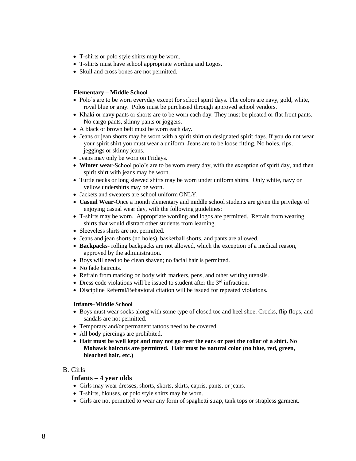- T-shirts or polo style shirts may be worn.
- T-shirts must have school appropriate wording and Logos.
- Skull and cross bones are not permitted.

#### **Elementary – Middle School**

- Polo's are to be worn everyday except for school spirit days. The colors are navy, gold, white, royal blue or gray. Polos must be purchased through approved school vendors.
- Khaki or navy pants or shorts are to be worn each day. They must be pleated or flat front pants. No cargo pants, skinny pants or joggers.
- A black or brown belt must be worn each day.
- Jeans or jean shorts may be worn with a spirit shirt on designated spirit days. If you do not wear your spirit shirt you must wear a uniform. Jeans are to be loose fitting. No holes, rips, jeggings or skinny jeans.
- Jeans may only be worn on Fridays.
- **Winter wear**-School polo's are to be worn every day, with the exception of spirit day, and then spirit shirt with jeans may be worn.
- Turtle necks or long sleeved shirts may be worn under uniform shirts. Only white, navy or yellow undershirts may be worn.
- Jackets and sweaters are school uniform ONLY.
- **Casual Wear**-Once a month elementary and middle school students are given the privilege of enjoying casual wear day, with the following guidelines:
- T-shirts may be worn. Appropriate wording and logos are permitted. Refrain from wearing shirts that would distract other students from learning.
- Sleeveless shirts are not permitted.
- Jeans and jean shorts (no holes), basketball shorts, and pants are allowed.
- **Backpacks-** rolling backpacks are not allowed, which the exception of a medical reason, approved by the administration.
- Boys will need to be clean shaven; no facial hair is permitted.
- No fade haircuts.
- Refrain from marking on body with markers, pens, and other writing utensils.
- Dress code violations will be issued to student after the  $3<sup>rd</sup>$  infraction.
- Discipline Referral/Behavioral citation will be issued for repeated violations.

#### **Infants–Middle School**

- Boys must wear socks along with some type of closed toe and heel shoe. Crocks, flip flops, and sandals are not permitted.
- Temporary and/or permanent tattoos need to be covered.
- All body piercings are prohibited**.**
- **Hair must be well kept and may not go over the ears or past the collar of a shirt. No Mohawk haircuts are permitted. Hair must be natural color (no blue, red, green, bleached hair, etc.)**

#### B. Girls

#### **Infants – 4 year olds**

- Girls may wear dresses, shorts, skorts, skirts, capris, pants, or jeans.
- T-shirts, blouses, or polo style shirts may be worn.
- Girls are not permitted to wear any form of spaghetti strap, tank tops or strapless garment.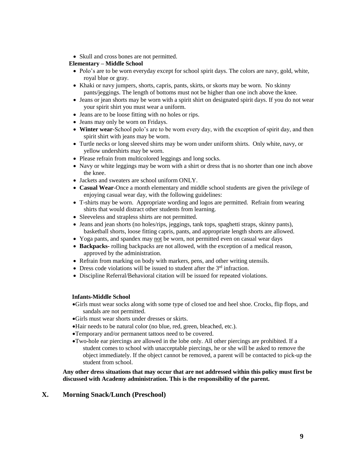• Skull and cross bones are not permitted.

#### **Elementary – Middle School**

- Polo's are to be worn everyday except for school spirit days. The colors are navy, gold, white, royal blue or gray.
- Khaki or navy jumpers, shorts, capris, pants, skirts, or skorts may be worn. No skinny pants/jeggings. The length of bottoms must not be higher than one inch above the knee.
- Jeans or jean shorts may be worn with a spirit shirt on designated spirit days. If you do not wear your spirit shirt you must wear a uniform.
- Jeans are to be loose fitting with no holes or rips.
- Jeans may only be worn on Fridays.
- **Winter wear**-School polo's are to be worn every day, with the exception of spirit day, and then spirit shirt with jeans may be worn.
- Turtle necks or long sleeved shirts may be worn under uniform shirts. Only white, navy, or yellow undershirts may be worn.
- Please refrain from multicolored leggings and long socks.
- Navy or white leggings may be worn with a shirt or dress that is no shorter than one inch above the knee.
- Jackets and sweaters are school uniform ONLY.
- **Casual Wear**-Once a month elementary and middle school students are given the privilege of enjoying casual wear day, with the following guidelines:
- T-shirts may be worn. Appropriate wording and logos are permitted. Refrain from wearing shirts that would distract other students from learning.
- Sleeveless and strapless shirts are not permitted.
- Jeans and jean shorts (no holes/rips, jeggings, tank tops, spaghetti straps, skinny pants), basketball shorts, loose fitting capris, pants, and appropriate length shorts are allowed.
- Yoga pants, and spandex may not be worn, not permitted even on casual wear days
- **Backpacks-** rolling backpacks are not allowed, with the exception of a medical reason, approved by the administration.
- Refrain from marking on body with markers, pens, and other writing utensils.
- Dress code violations will be issued to student after the  $3<sup>rd</sup>$  infraction.
- Discipline Referral/Behavioral citation will be issued for repeated violations.

#### **Infants-Middle School**

- •Girls must wear socks along with some type of closed toe and heel shoe. Crocks, flip flops, and sandals are not permitted.
- •Girls must wear shorts under dresses or skirts.
- •Hair needs to be natural color (no blue, red, green, bleached, etc.).
- •Temporary and/or permanent tattoos need to be covered.
- •Two-hole ear piercings are allowed in the lobe only. All other piercings are prohibited. If a student comes to school with unacceptable piercings, he or she will be asked to remove the object immediately. If the object cannot be removed, a parent will be contacted to pick-up the student from school.

#### **Any other dress situations that may occur that are not addressed within this policy must first be discussed with Academy administration. This is the responsibility of the parent.**

#### **X. Morning Snack/Lunch (Preschool)**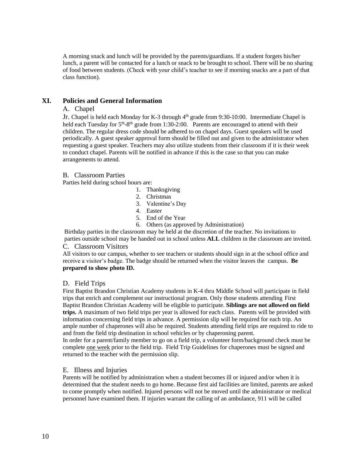A morning snack and lunch will be provided by the parents/guardians. If a student forgets his/her lunch, a parent will be contacted for a lunch or snack to be brought to school. There will be no sharing of food between students. (Check with your child's teacher to see if morning snacks are a part of that class function).

#### **XI. Policies and General Information**

#### A. Chapel

Jr. Chapel is held each Monday for K-3 through 4<sup>th</sup> grade from 9:30-10:00. Intermediate Chapel is held each Tuesday for 5<sup>th</sup>-8<sup>th</sup> grade from 1:30-2:00. Parents are encouraged to attend with their children. The regular dress code should be adhered to on chapel days. Guest speakers will be used periodically. A guest speaker approval form should be filled out and given to the administrator when requesting a guest speaker. Teachers may also utilize students from their classroom if it is their week to conduct chapel. Parents will be notified in advance if this is the case so that you can make arrangements to attend.

#### B. Classroom Parties

Parties held during school hours are:

- 1. Thanksgiving
- 2. Christmas
- 3. Valentine's Day
- 4. Easter
- 5. End of the Year
- 6. Others (as approved by Administration)

Birthday parties in the classroom may be held at the discretion of the teacher. No invitations to parties outside school may be handed out in school unless **ALL** children in the classroom are invited. C. Classroom Visitors

All visitors to our campus, whether to see teachers or students should sign in at the school office and receive a visitor's badge. The badge should be returned when the visitor leaves the campus. **Be prepared to show photo ID.** 

#### D. Field Trips

First Baptist Brandon Christian Academy students in K-4 thru Middle School will participate in field trips that enrich and complement our instructional program. Only those students attending First Baptist Brandon Christian Academy will be eligible to participate. **Siblings are not allowed on field trips.** A maximum of two field trips per year is allowed for each class. Parents will be provided with information concerning field trips in advance. A permission slip will be required for each trip. An ample number of chaperones will also be required. Students attending field trips are required to ride to and from the field trip destination in school vehicles or by chaperoning parent.

In order for a parent/family member to go on a field trip, a volunteer form/background check must be complete one week prior to the field trip. Field Trip Guidelines for chaperones must be signed and returned to the teacher with the permission slip.

#### E. Illness and Injuries

Parents will be notified by administration when a student becomes ill or injured and/or when it is determined that the student needs to go home. Because first aid facilities are limited, parents are asked to come promptly when notified. Injured persons will not be moved until the administrator or medical personnel have examined them. If injuries warrant the calling of an ambulance, 911 will be called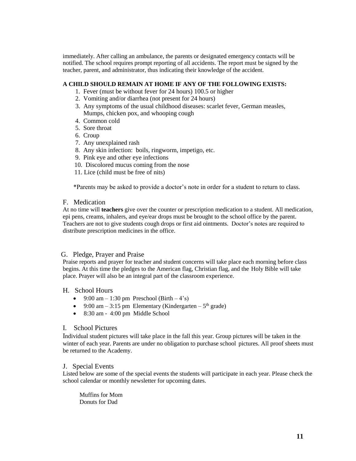immediately. After calling an ambulance, the parents or designated emergency contacts will be notified. The school requires prompt reporting of all accidents. The report must be signed by the teacher, parent, and administrator, thus indicating their knowledge of the accident.

#### **A CHILD SHOULD REMAIN AT HOME IF ANY OF THE FOLLOWING EXISTS:**

- 1. Fever (must be without fever for 24 hours) 100.5 or higher
- 2. Vomiting and/or diarrhea (not present for 24 hours)
- 3. Any symptoms of the usual childhood diseases: scarlet fever, German measles, Mumps, chicken pox, and whooping cough
- 4. Common cold
- 5. Sore throat
- 6. Croup
- 7. Any unexplained rash
- 8. Any skin infection: boils, ringworm, impetigo, etc.
- 9. Pink eye and other eye infections
- 10. Discolored mucus coming from the nose
- 11. Lice (child must be free of nits)

\*Parents may be asked to provide a doctor's note in order for a student to return to class.

#### F. Medication

At no time will **teachers** give over the counter or prescription medication to a student. All medication, epi pens, creams, inhalers, and eye/ear drops must be brought to the school office by the parent. Teachers are not to give students cough drops or first aid ointments. Doctor's notes are required to distribute prescription medicines in the office.

#### G. Pledge, Prayer and Praise

Praise reports and prayer for teacher and student concerns will take place each morning before class begins. At this time the pledges to the American flag, Christian flag, and the Holy Bible will take place. Prayer will also be an integral part of the classroom experience.

#### H. School Hours

- 9:00 am 1:30 pm Preschool (Birth 4's)
- 9:00 am  $-$  3:15 pm Elementary (Kindergarten  $-5<sup>th</sup>$  grade)
- 8:30 am 4:00 pm Middle School

#### I. School Pictures

Individual student pictures will take place in the fall this year. Group pictures will be taken in the winter of each year. Parents are under no obligation to purchase school pictures. All proof sheets must be returned to the Academy.

#### J. Special Events

Listed below are some of the special events the students will participate in each year. Please check the school calendar or monthly newsletter for upcoming dates.

Muffins for Mom Donuts for Dad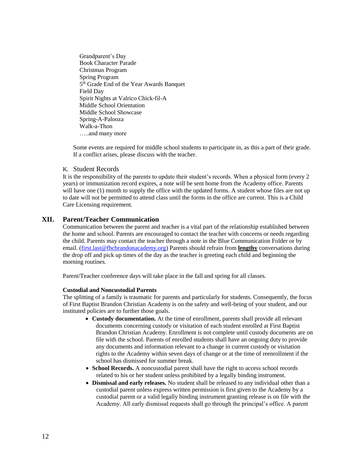Grandparent's Day Book Character Parade Christmas Program Spring Program 5<sup>th</sup> Grade End of the Year Awards Banquet Field Day Spirit Nights at Valrico Chick-fil-A Middle School Orientation Middle School Showcase Spring-A-Palooza Walk-a-Thon …..and many more

Some events are required for middle school students to participate in, as this a part of their grade. If a conflict arises, please discuss with the teacher.

#### K. Student Records

It is the responsibility of the parents to update their student's records. When a physical form (every 2 years) or immunization record expires, a note will be sent home from the Academy office. Parents will have one (1) month to supply the office with the updated forms. A student whose files are not up to date will not be permitted to attend class until the forms in the office are current. This is a Child Care Licensing requirement.

#### **XII. Parent/Teacher Communication**

Communication between the parent and teacher is a vital part of the relationship established between the home and school. Parents are encouraged to contact the teacher with concerns or needs regarding the child. Parents may contact the teacher through a note in the Blue Communication Folder or by email. [\(first.last@fbcbrandonacademy.org\)](mailto:first.last@fbcbrandonacademy.org) Parents should refrain from **lengthy** conversations during the drop off and pick up times of the day as the teacher is greeting each child and beginning the morning routines.

Parent/Teacher conference days will take place in the fall and spring for all classes.

#### **Custodial and Noncustodial Parents**

The splitting of a family is traumatic for parents and particularly for students. Consequently, the focus of First Baptist Brandon Christian Academy is on the safety and well-being of your student, and our instituted policies are to further those goals.

- **Custody documentation.** At the time of enrollment, parents shall provide all relevant documents concerning custody or visitation of each student enrolled at First Baptist Brandon Christian Academy. Enrollment is not complete until custody documents are on file with the school. Parents of enrolled students shall have an ongoing duty to provide any documents and information relevant to a change in current custody or visitation rights to the Academy within seven days of change or at the time of reenrollment if the school has dismissed for summer break.
- **School Records.** A noncustodial parent shall have the right to access school records related to his or her student unless prohibited by a legally binding instrument.
- **Dismissal and early releases.** No student shall be released to any individual other than a custodial parent unless express written permission is first given to the Academy by a custodial parent or a valid legally binding instrument granting release is on file with the Academy. All early dismissal requests shall go through the principal's office. A parent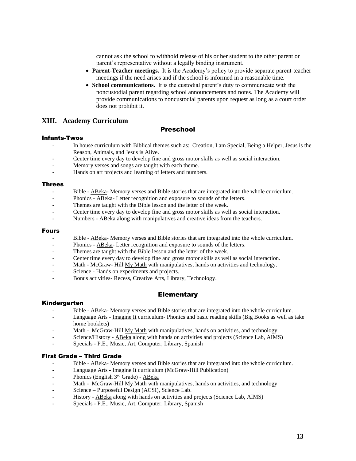cannot ask the school to withhold release of his or her student to the other parent or parent's representative without a legally binding instrument.

- **Parent-Teacher meetings.** It is the Academy's policy to provide separate parent-teacher meetings if the need arises and if the school is informed in a reasonable time.
- **School communications.** It is the custodial parent's duty to communicate with the noncustodial parent regarding school announcements and notes. The Academy will provide communications to noncustodial parents upon request as long as a court order does not prohibit it.

#### **XIII. Academy Curriculum**

#### Preschool

#### Infants-Twos

- In house curriculum with Biblical themes such as: Creation, I am Special, Being a Helper, Jesus is the Reason, Animals, and Jesus is Alive.
- Center time every day to develop fine and gross motor skills as well as social interaction.
- Memory verses and songs are taught with each theme.
- Hands on art projects and learning of letters and numbers.

#### Threes

- Bible ABeka- Memory verses and Bible stories that are integrated into the whole curriculum.
- Phonics ABeka- Letter recognition and exposure to sounds of the letters.
- Themes are taught with the Bible lesson and the letter of the week.
- Center time every day to develop fine and gross motor skills as well as social interaction.
- Numbers ABeka along with manipulatives and creative ideas from the teachers.

#### Fours

- Bible ABeka- Memory verses and Bible stories that are integrated into the whole curriculum.
- Phonics ABeka- Letter recognition and exposure to sounds of the letters.
- Themes are taught with the Bible lesson and the letter of the week.
- Center time every day to develop fine and gross motor skills as well as social interaction.
- Math McGraw- Hill My Math with manipulatives, hands on activities and technology.
- Science Hands on experiments and projects.
- Bonus activities- Recess, Creative Arts, Library, Technology.

#### **Elementary**

#### Kindergarten

- Bible ABeka- Memory verses and Bible stories that are integrated into the whole curriculum.
- Language Arts Imagine It curriculum- Phonics and basic reading skills (Big Books as well as take home booklets)
- Math McGraw-Hill My Math with manipulatives, hands on activities, and technology
- Science/History ABeka along with hands on activities and projects (Science Lab, AIMS)
- Specials P.E., Music, Art, Computer, Library, Spanish

#### First Grade – Third Grade

- Bible ABeka- Memory verses and Bible stories that are integrated into the whole curriculum.
- Language Arts Imagine It curriculum (McGraw-Hill Publication)
- Phonics (English 3<sup>rd</sup> Grade) ABeka
- Math McGraw-Hill My Math with manipulatives, hands on activities, and technology
- Science Purposeful Design (ACSI), Science Lab.
- History ABeka along with hands on activities and projects (Science Lab, AIMS)
- Specials P.E., Music, Art, Computer, Library, Spanish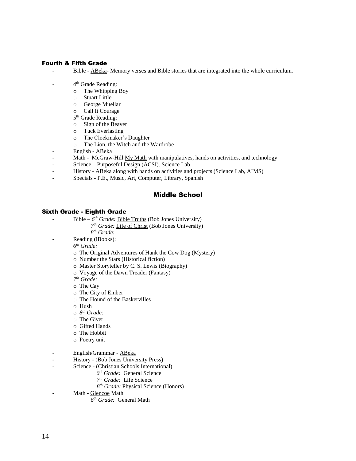#### Fourth & Fifth Grade

- Bible ABeka- Memory verses and Bible stories that are integrated into the whole curriculum.
- 4<sup>th</sup> Grade Reading:
	- o The Whipping Boy
	- o Stuart Little
	- o George Muellar
	- o Call It Courage
	- 5<sup>th</sup> Grade Reading:
	- o Sign of the Beaver
	- o Tuck Everlasting
	- o The Clockmaker's Daughter
	- o The Lion, the Witch and the Wardrobe
- English ABeka
- Math McGraw-Hill My Math with manipulatives, hands on activities, and technology
- Science Purposeful Design (ACSI). Science Lab.
- History ABeka along with hands on activities and projects (Science Lab, AIMS)
- Specials P.E., Music, Art, Computer, Library, Spanish

#### Middle School

#### Sixth Grade - Eighth Grade

- Bible *6 th Grade:* Bible Truths (Bob Jones University)
	- *7 th Grade:* Life of Christ (Bob Jones University)
	- *8 th Grade:*
	- Reading (iBooks):

*6 th Grade:*

- o The Original Adventures of Hank the Cow Dog (Mystery)
- o Number the Stars (Historical fiction)
- o Master Storyteller by C. S. Lewis (Biography)
- o Voyage of the Dawn Treader (Fantasy)
- *7 th Grade:*
- o The Cay
- o The City of Ember
- o The Hound of the Baskervilles
- o Hush
- o *8 th Grade:*
- o The Giver
- o Gifted Hands
- o The Hobbit
- o Poetry unit
- English/Grammar ABeka
- History (Bob Jones University Press)
- Science (Christian Schools International)
	- *6 th Grade:* General Science
	- *7 th Grade:* Life Science
		- *8 th Grade:* Physical Science (Honors)
- Math Glencoe Math
	- *6 th Grade:* General Math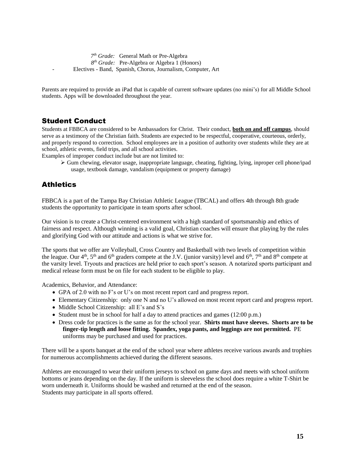*7 th Grade:* General Math or Pre-Algebra *8 th Grade:* Pre-Algebra or Algebra 1 (Honors) - Electives - Band, Spanish, Chorus, Journalism, Computer, Art

Parents are required to provide an iPad that is capable of current software updates (no mini's) for all Middle School students. Apps will be downloaded throughout the year.

# Student Conduct

Students at FBBCA are considered to be Ambassadors for Christ. Their conduct, **both on and off campus**, should serve as a testimony of the Christian faith. Students are expected to be respectful, cooperative, courteous, orderly, and properly respond to correction. School employees are in a position of authority over students while they are at school, athletic events, field trips, and all school activities.

Examples of improper conduct include but are not limited to:

 $\triangleright$  Gum chewing, elevator usage, inappropriate language, cheating, fighting, lying, inproper cell phone/ipad usage, textbook damage, vandalism (equipment or property damage)

# **Athletics**

FBBCA is a part of the Tampa Bay Christian Athletic League (TBCAL) and offers 4th through 8th grade students the opportunity to participate in team sports after school.

Our vision is to create a Christ-centered environment with a high standard of sportsmanship and ethics of fairness and respect. Although winning is a valid goal, Christian coaches will ensure that playing by the rules and glorifying God with our attitude and actions is what we strive for.

The sports that we offer are Volleyball, Cross Country and Basketball with two levels of competition within the league. Our  $4<sup>th</sup>$ ,  $5<sup>th</sup>$  and  $6<sup>th</sup>$  graders compete at the J.V. (junior varsity) level and  $6<sup>th</sup>$ ,  $7<sup>th</sup>$  and  $8<sup>th</sup>$  compete at the varsity level. Tryouts and practices are held prior to each sport's season. A notarized sports participant and medical release form must be on file for each student to be eligible to play.

Academics, Behavior, and Attendance:

- GPA of 2.0 with no F's or U's on most recent report card and progress report.
- Elementary Citizenship: only one N and no U's allowed on most recent report card and progress report.
- Middle School Citizenship: all E's and S's
- Student must be in school for half a day to attend practices and games (12:00 p.m.)
- Dress code for practices is the same as for the school year. **Shirts must have sleeves. Shorts are to be finger-tip length and loose fitting. Spandex, yoga pants, and leggings are not permitted.** PE uniforms may be purchased and used for practices.

There will be a sports banquet at the end of the school year where athletes receive various awards and trophies for numerous accomplishments achieved during the different seasons.

Athletes are encouraged to wear their uniform jerseys to school on game days and meets with school uniform bottoms or jeans depending on the day. If the uniform is sleeveless the school does require a white T-Shirt be worn underneath it. Uniforms should be washed and returned at the end of the season. Students may participate in all sports offered.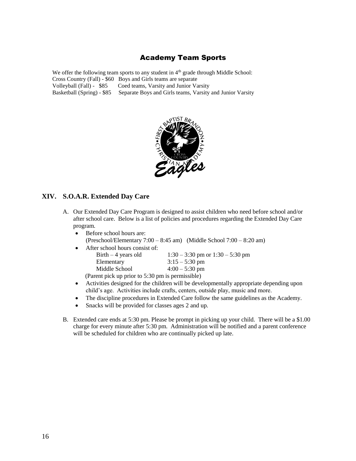# Academy Team Sports

We offer the following team sports to any student in  $4<sup>th</sup>$  grade through Middle School: Cross Country (Fall) - \$60 Boys and Girls teams are separate Volleyball (Fall) - \$85 Coed teams, Varsity and Junior Varsity Basketball (Spring) - \$85 Separate Boys and Girls teams, Varsity and Junior Varsity



#### **XIV. S.O.A.R. Extended Day Care**

- A. Our Extended Day Care Program is designed to assist children who need before school and/or after school care. Below is a list of policies and procedures regarding the Extended Day Care program.
	- Before school hours are: (Preschool/Elementary  $7:00 - 8:45$  am) (Middle School  $7:00 - 8:20$  am)
	- After school hours consist of: Birth – 4 years old  $1:30 - 3:30$  pm or  $1:30 - 5:30$  pm Elementary  $3:15 - 5:30 \text{ pm}$ Middle School 4:00 – 5:30 pm (Parent pick up prior to 5:30 pm is permissible)
	- Activities designed for the children will be developmentally appropriate depending upon child's age. Activities include crafts, centers, outside play, music and more.
	- The discipline procedures in Extended Care follow the same guidelines as the Academy.
	- Snacks will be provided for classes ages 2 and up.
- B. Extended care ends at 5:30 pm. Please be prompt in picking up your child. There will be a \$1.00 charge for every minute after 5:30 pm. Administration will be notified and a parent conference will be scheduled for children who are continually picked up late.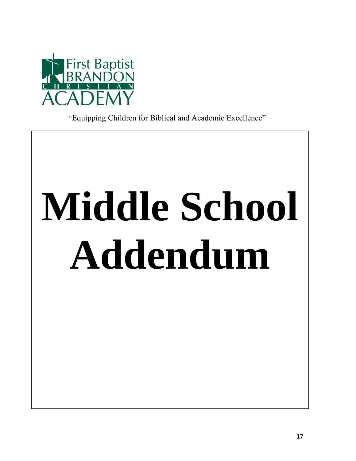

"Equipping Children for Biblical and Academic Excellence"

# **Middle School Addendum**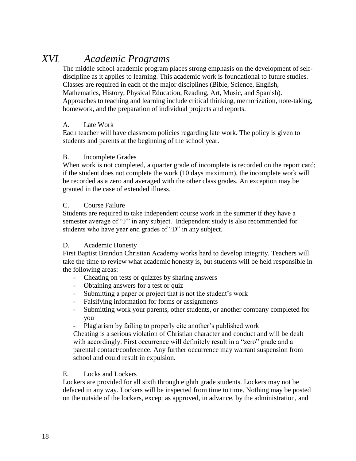# *XVI. Academic Programs*

The middle school academic program places strong emphasis on the development of selfdiscipline as it applies to learning. This academic work is foundational to future studies. Classes are required in each of the major disciplines (Bible, Science, English, Mathematics, History, Physical Education, Reading, Art, Music, and Spanish). Approaches to teaching and learning include critical thinking, memorization, note-taking, homework, and the preparation of individual projects and reports.

# A. Late Work

Each teacher will have classroom policies regarding late work. The policy is given to students and parents at the beginning of the school year.

# B. Incomplete Grades

When work is not completed, a quarter grade of incomplete is recorded on the report card; if the student does not complete the work (10 days maximum), the incomplete work will be recorded as a zero and averaged with the other class grades. An exception may be granted in the case of extended illness.

# C. Course Failure

Students are required to take independent course work in the summer if they have a semester average of "F" in any subject. Independent study is also recommended for students who have year end grades of "D" in any subject.

# D. Academic Honesty

First Baptist Brandon Christian Academy works hard to develop integrity. Teachers will take the time to review what academic honesty is, but students will be held responsible in the following areas:

- Cheating on tests or quizzes by sharing answers
- Obtaining answers for a test or quiz
- Submitting a paper or project that is not the student's work
- Falsifying information for forms or assignments
- Submitting work your parents, other students, or another company completed for you
- Plagiarism by failing to properly cite another's published work

Cheating is a serious violation of Christian character and conduct and will be dealt with accordingly. First occurrence will definitely result in a "zero" grade and a parental contact/conference. Any further occurrence may warrant suspension from school and could result in expulsion.

# E. Locks and Lockers

Lockers are provided for all sixth through eighth grade students. Lockers may not be defaced in any way. Lockers will be inspected from time to time. Nothing may be posted on the outside of the lockers, except as approved, in advance, by the administration, and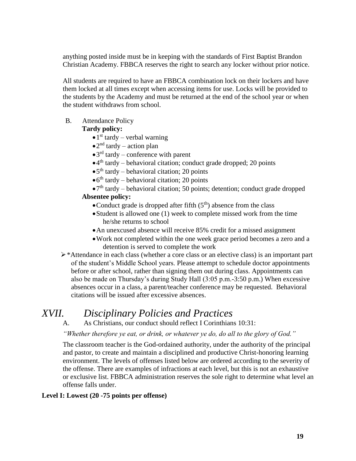anything posted inside must be in keeping with the standards of First Baptist Brandon Christian Academy. FBBCA reserves the right to search any locker without prior notice.

All students are required to have an FBBCA combination lock on their lockers and have them locked at all times except when accessing items for use. Locks will be provided to the students by the Academy and must be returned at the end of the school year or when the student withdraws from school.

#### B. Attendance Policy

#### **Tardy policy:**

- $\bullet$  1<sup>st</sup> tardy verbal warning
- $\bullet$  2<sup>nd</sup> tardy action plan
- $\bullet$  3<sup>rd</sup> tardy conference with parent
- •4 th tardy behavioral citation; conduct grade dropped; 20 points
- $\bullet$  5<sup>th</sup> tardy behavioral citation; 20 points
- $\bullet$  6<sup>th</sup> tardy behavioral citation; 20 points
- $\bullet$  7<sup>th</sup> tardy behavioral citation; 50 points; detention; conduct grade dropped

#### **Absentee policy:**

- Conduct grade is dropped after fifth  $(5<sup>th</sup>)$  absence from the class
- •Student is allowed one (1) week to complete missed work from the time he/she returns to school
- •An unexcused absence will receive 85% credit for a missed assignment
- •Work not completed within the one week grace period becomes a zero and a detention is served to complete the work
- ➢\*Attendance in each class (whether a core class or an elective class) is an important part of the student's Middle School years. Please attempt to schedule doctor appointments before or after school, rather than signing them out during class. Appointments can also be made on Thursday's during Study Hall (3:05 p.m.-3:50 p.m.) When excessive absences occur in a class, a parent/teacher conference may be requested. Behavioral citations will be issued after excessive absences.

# *XVII. Disciplinary Policies and Practices*

A. As Christians, our conduct should reflect I Corinthians 10:31:

*"Whether therefore ye eat, or drink, or whatever ye do, do all to the glory of God."*

The classroom teacher is the God-ordained authority, under the authority of the principal and pastor, to create and maintain a disciplined and productive Christ-honoring learning environment. The levels of offenses listed below are ordered according to the severity of the offense. There are examples of infractions at each level, but this is not an exhaustive or exclusive list. FBBCA administration reserves the sole right to determine what level an offense falls under.

#### **Level I: Lowest (20 -75 points per offense)**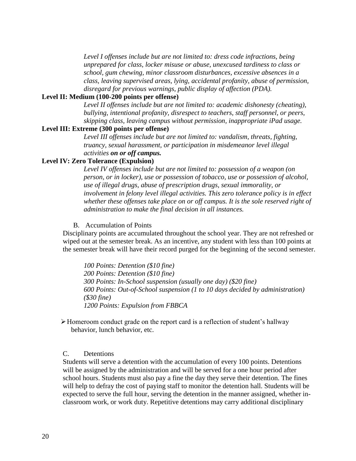*Level I offenses include but are not limited to: dress code infractions, being unprepared for class, locker misuse or abuse, unexcused tardiness to class or school, gum chewing, minor classroom disturbances, excessive absences in a class, leaving supervised areas, lying, accidental profanity, abuse of permission, disregard for previous warnings, public display of affection (PDA).* 

#### **Level II: Medium (100-200 points per offense)**

Level II offenses include but are not limited to: academic dishonesty (cheating), *bullying, intentional profanity, disrespect to teachers, staff personnel, or peers, skipping class, leaving campus without permission, inappropriate iPad usage.*

#### **Level III: Extreme (300 points per offense)**

*Level III offenses include but are not limited to: vandalism, threats, fighting, truancy, sexual harassment, or participation in misdemeanor level illegal activities on or off campus.*

#### **Level IV: Zero Tolerance (Expulsion)**

*Level IV offenses include but are not limited to: possession of a weapon (on person, or in locker), use or possession of tobacco, use or possession of alcohol, use of illegal drugs, abuse of prescription drugs, sexual immorality, or involvement in felony level illegal activities. This zero tolerance policy is in effect whether these offenses take place on or off campus. It is the sole reserved right of administration to make the final decision in all instances.*

B. Accumulation of Points

Disciplinary points are accumulated throughout the school year. They are not refreshed or wiped out at the semester break. As an incentive, any student with less than 100 points at the semester break will have their record purged for the beginning of the second semester.

*100 Points: Detention (\$10 fine) 200 Points: Detention (\$10 fine) 300 Points: In-School suspension (usually one day) (\$20 fine) 600 Points: Out-of-School suspension (1 to 10 days decided by administration) (\$30 fine) 1200 Points: Expulsion from FBBCA*

➢Homeroom conduct grade on the report card is a reflection of student's hallway behavior, lunch behavior, etc.

#### C. Detentions

Students will serve a detention with the accumulation of every 100 points. Detentions will be assigned by the administration and will be served for a one hour period after school hours. Students must also pay a fine the day they serve their detention. The fines will help to defray the cost of paying staff to monitor the detention hall. Students will be expected to serve the full hour, serving the detention in the manner assigned, whether inclassroom work, or work duty. Repetitive detentions may carry additional disciplinary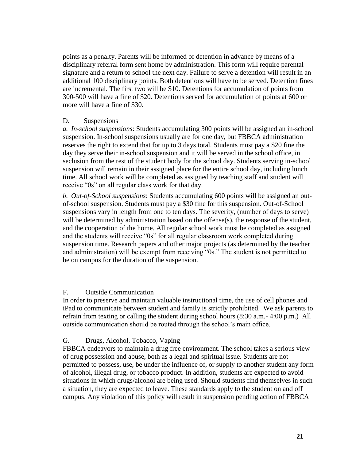points as a penalty. Parents will be informed of detention in advance by means of a disciplinary referral form sent home by administration. This form will require parental signature and a return to school the next day. Failure to serve a detention will result in an additional 100 disciplinary points. Both detentions will have to be served. Detention fines are incremental. The first two will be \$10. Detentions for accumulation of points from 300-500 will have a fine of \$20. Detentions served for accumulation of points at 600 or more will have a fine of \$30.

#### D. Suspensions

*a. In-school suspensions*: Students accumulating 300 points will be assigned an in-school suspension. In-school suspensions usually are for one day, but FBBCA administration reserves the right to extend that for up to 3 days total. Students must pay a \$20 fine the day they serve their in-school suspension and it will be served in the school office, in seclusion from the rest of the student body for the school day. Students serving in-school suspension will remain in their assigned place for the entire school day, including lunch time. All school work will be completed as assigned by teaching staff and student will receive "0s" on all regular class work for that day.

*b. Out-of-School suspensions*: Students accumulating 600 points will be assigned an outof-school suspension. Students must pay a \$30 fine for this suspension. Out-of-School suspensions vary in length from one to ten days. The severity, (number of days to serve) will be determined by administration based on the offense(s), the response of the student, and the cooperation of the home. All regular school work must be completed as assigned and the students will receive "0s" for all regular classroom work completed during suspension time. Research papers and other major projects (as determined by the teacher and administration) will be exempt from receiving "0s." The student is not permitted to be on campus for the duration of the suspension.

#### F. Outside Communication

In order to preserve and maintain valuable instructional time, the use of cell phones and iPad to communicate between student and family is strictly prohibited. We ask parents to refrain from texting or calling the student during school hours (8:30 a.m.- 4:00 p.m.) All outside communication should be routed through the school's main office.

# G. Drugs, Alcohol, Tobacco, Vaping

FBBCA endeavors to maintain a drug free environment. The school takes a serious view of drug possession and abuse, both as a legal and spiritual issue. Students are not permitted to possess, use, be under the influence of, or supply to another student any form of alcohol, illegal drug, or tobacco product. In addition, students are expected to avoid situations in which drugs/alcohol are being used. Should students find themselves in such a situation, they are expected to leave. These standards apply to the student on and off campus. Any violation of this policy will result in suspension pending action of FBBCA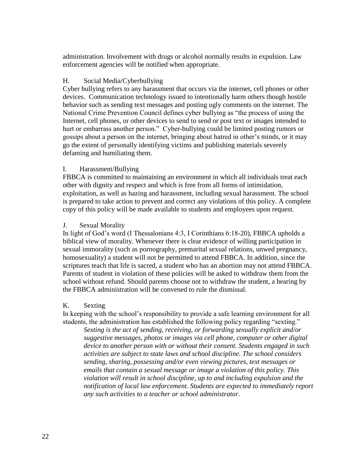administration. Involvement with drugs or alcohol normally results in expulsion. Law enforcement agencies will be notified when appropriate.

#### H. Social Media/Cyberbullying

Cyber bullying refers to any harassment that occurs via the internet, cell phones or other devices. Communication technology issued to intentionally harm others though hostile behavior such as sending text messages and posting ugly comments on the internet. The National Crime Prevention Council defines cyber bullying as "the process of using the Internet, cell phones, or other devices to send to send or post text or images intended to hurt or embarrass another person." Cyber-bullying could be limited posting rumors or gossips about a person on the internet, bringing about hatred in other's minds, or it may go the extent of personally identifying victims and publishing materials severely defaming and humiliating them.

#### I. Harassment/Bullying

FBBCA is committed to maintaining an environment in which all individuals treat each other with dignity and respect and which is free from all forms of intimidation, exploitation, as well as hazing and harassment, including sexual harassment. The school is prepared to take action to prevent and correct any violations of this policy. A complete copy of this policy will be made available to students and employees upon request.

#### J. Sexual Morality

In light of God's word (I Thessalonians 4:3, I Corinthians 6:18-20), FBBCA upholds a biblical view of morality. Whenever there is clear evidence of willing participation in sexual immorality (such as pornography, premarital sexual relations, unwed pregnancy, homosexuality) a student will not be permitted to attend FBBCA. In addition, since the scriptures teach that life is sacred, a student who has an abortion may not attend FBBCA. Parents of student in violation of these policies will be asked to withdraw them from the school without refund. Should parents choose not to withdraw the student, a hearing by the FBBCA administration will be convened to rule the dismissal.

#### K. Sexting

In keeping with the school's responsibility to provide a safe learning environment for all students, the administration has established the following policy regarding "sexting."

*Sexting is the act of sending, receiving, or forwarding sexually explicit and/or suggestive messages, photos or images via cell phone, computer or other digital device to another person with or without their consent. Students engaged in such activities are subject to state laws and school discipline. The school considers sending, sharing, possessing and/or even viewing pictures, text messages or emails that contain a sexual message or image a violation of this policy. This violation will result in school discipline, up to and including expulsion and the notification of local law enforcement. Students are expected to immediately report any such activities to a teacher or school administrator*.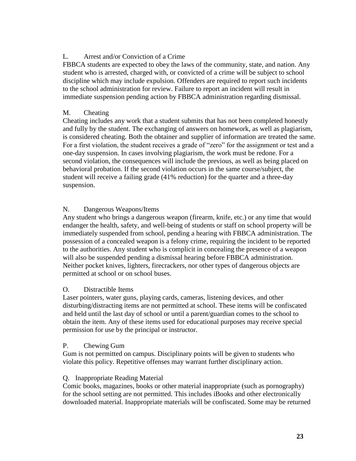# L. Arrest and/or Conviction of a Crime

FBBCA students are expected to obey the laws of the community, state, and nation. Any student who is arrested, charged with, or convicted of a crime will be subject to school discipline which may include expulsion. Offenders are required to report such incidents to the school administration for review. Failure to report an incident will result in immediate suspension pending action by FBBCA administration regarding dismissal.

# M. Cheating

Cheating includes any work that a student submits that has not been completed honestly and fully by the student. The exchanging of answers on homework, as well as plagiarism, is considered cheating. Both the obtainer and supplier of information are treated the same. For a first violation, the student receives a grade of "zero" for the assignment or test and a one-day suspension. In cases involving plagiarism, the work must be redone. For a second violation, the consequences will include the previous, as well as being placed on behavioral probation. If the second violation occurs in the same course/subject, the student will receive a failing grade (41% reduction) for the quarter and a three-day suspension.

# N. Dangerous Weapons/Items

Any student who brings a dangerous weapon (firearm, knife, etc.) or any time that would endanger the health, safety, and well-being of students or staff on school property will be immediately suspended from school, pending a hearing with FBBCA administration. The possession of a concealed weapon is a felony crime, requiring the incident to be reported to the authorities. Any student who is complicit in concealing the presence of a weapon will also be suspended pending a dismissal hearing before FBBCA administration. Neither pocket knives, lighters, firecrackers, nor other types of dangerous objects are permitted at school or on school buses.

# O. Distractible Items

Laser pointers, water guns, playing cards, cameras, listening devices, and other disturbing/distracting items are not permitted at school. These items will be confiscated and held until the last day of school or until a parent/guardian comes to the school to obtain the item. Any of these items used for educational purposes may receive special permission for use by the principal or instructor.

# P. Chewing Gum

Gum is not permitted on campus. Disciplinary points will be given to students who violate this policy. Repetitive offenses may warrant further disciplinary action.

# Q. Inappropriate Reading Material

Comic books, magazines, books or other material inappropriate (such as pornography) for the school setting are not permitted. This includes iBooks and other electronically downloaded material. Inappropriate materials will be confiscated. Some may be returned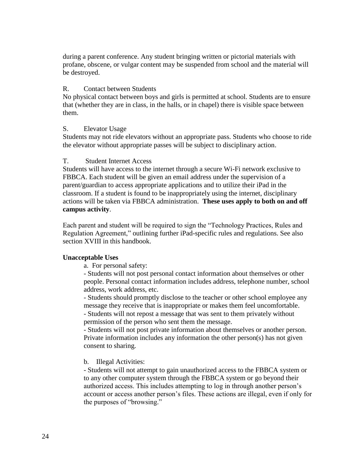during a parent conference. Any student bringing written or pictorial materials with profane, obscene, or vulgar content may be suspended from school and the material will be destroyed.

#### R. Contact between Students

No physical contact between boys and girls is permitted at school. Students are to ensure that (whether they are in class, in the halls, or in chapel) there is visible space between them.

#### S. Elevator Usage

Students may not ride elevators without an appropriate pass. Students who choose to ride the elevator without appropriate passes will be subject to disciplinary action.

#### T. Student Internet Access

Students will have access to the internet through a secure Wi-Fi network exclusive to FBBCA. Each student will be given an email address under the supervision of a parent/guardian to access appropriate applications and to utilize their iPad in the classroom. If a student is found to be inappropriately using the internet, disciplinary actions will be taken via FBBCA administration. **These uses apply to both on and off campus activity**.

Each parent and student will be required to sign the "Technology Practices, Rules and Regulation Agreement," outlining further iPad-specific rules and regulations. See also section XVIII in this handbook.

#### **Unacceptable Uses**

a. For personal safety:

- Students will not post personal contact information about themselves or other people. Personal contact information includes address, telephone number, school address, work address, etc.

- Students should promptly disclose to the teacher or other school employee any message they receive that is inappropriate or makes them feel uncomfortable. - Students will not repost a message that was sent to them privately without permission of the person who sent them the message.

- Students will not post private information about themselves or another person. Private information includes any information the other person(s) has not given consent to sharing.

#### b. Illegal Activities:

- Students will not attempt to gain unauthorized access to the FBBCA system or to any other computer system through the FBBCA system or go beyond their authorized access. This includes attempting to log in through another person's account or access another person's files. These actions are illegal, even if only for the purposes of "browsing."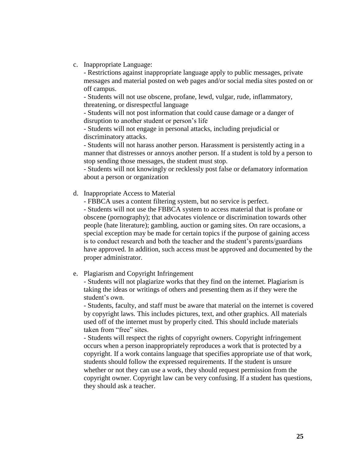c. Inappropriate Language:

- Restrictions against inappropriate language apply to public messages, private messages and material posted on web pages and/or social media sites posted on or off campus.

- Students will not use obscene, profane, lewd, vulgar, rude, inflammatory, threatening, or disrespectful language

- Students will not post information that could cause damage or a danger of disruption to another student or person's life

- Students will not engage in personal attacks, including prejudicial or discriminatory attacks.

- Students will not harass another person. Harassment is persistently acting in a manner that distresses or annoys another person. If a student is told by a person to stop sending those messages, the student must stop.

- Students will not knowingly or recklessly post false or defamatory information about a person or organization

d. Inappropriate Access to Material

- FBBCA uses a content filtering system, but no service is perfect.

- Students will not use the FBBCA system to access material that is profane or obscene (pornography); that advocates violence or discrimination towards other people (hate literature); gambling, auction or gaming sites. On rare occasions, a special exception may be made for certain topics if the purpose of gaining access is to conduct research and both the teacher and the student's parents/guardians have approved. In addition, such access must be approved and documented by the proper administrator.

e. Plagiarism and Copyright Infringement

- Students will not plagiarize works that they find on the internet. Plagiarism is taking the ideas or writings of others and presenting them as if they were the student's own.

- Students, faculty, and staff must be aware that material on the internet is covered by copyright laws. This includes pictures, text, and other graphics. All materials used off of the internet must by properly cited. This should include materials taken from "free" sites.

- Students will respect the rights of copyright owners. Copyright infringement occurs when a person inappropriately reproduces a work that is protected by a copyright. If a work contains language that specifies appropriate use of that work, students should follow the expressed requirements. If the student is unsure whether or not they can use a work, they should request permission from the copyright owner. Copyright law can be very confusing. If a student has questions, they should ask a teacher.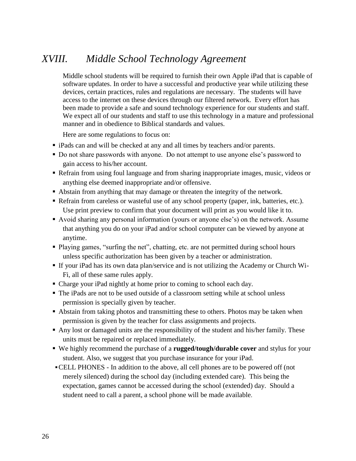# *XVIII. Middle School Technology Agreement*

Middle school students will be required to furnish their own Apple iPad that is capable of software updates. In order to have a successful and productive year while utilizing these devices, certain practices, rules and regulations are necessary. The students will have access to the internet on these devices through our filtered network. Every effort has been made to provide a safe and sound technology experience for our students and staff. We expect all of our students and staff to use this technology in a mature and professional manner and in obedience to Biblical standards and values.

Here are some regulations to focus on:

- **iPads can and will be checked at any and all times by teachers and/or parents.**
- Do not share passwords with anyone. Do not attempt to use anyone else's password to gain access to his/her account.
- Refrain from using foul language and from sharing inappropriate images, music, videos or anything else deemed inappropriate and/or offensive.
- Abstain from anything that may damage or threaten the integrity of the network.
- Refrain from careless or wasteful use of any school property (paper, ink, batteries, etc.). Use print preview to confirm that your document will print as you would like it to.
- Avoid sharing any personal information (yours or anyone else's) on the network. Assume that anything you do on your iPad and/or school computer can be viewed by anyone at anytime.
- Playing games, "surfing the net", chatting, etc. are not permitted during school hours unless specific authorization has been given by a teacher or administration.
- If your iPad has its own data plan/service and is not utilizing the Academy or Church Wi-Fi, all of these same rules apply.
- Charge your iPad nightly at home prior to coming to school each day.
- The iPads are not to be used outside of a classroom setting while at school unless permission is specially given by teacher.
- Abstain from taking photos and transmitting these to others. Photos may be taken when permission is given by the teacher for class assignments and projects.
- Any lost or damaged units are the responsibility of the student and his/her family. These units must be repaired or replaced immediately.
- We highly recommend the purchase of a **rugged/tough/durable cover** and stylus for your student. Also, we suggest that you purchase insurance for your iPad.
- ▪CELL PHONES In addition to the above, all cell phones are to be powered off (not merely silenced) during the school day (including extended care). This being the expectation, games cannot be accessed during the school (extended) day. Should a student need to call a parent, a school phone will be made available.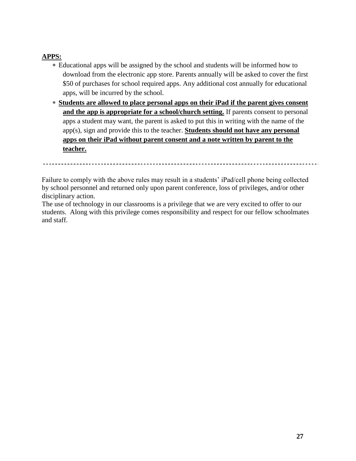# **APPS:**

- Educational apps will be assigned by the school and students will be informed how to download from the electronic app store. Parents annually will be asked to cover the first \$50 of purchases for school required apps. Any additional cost annually for educational apps, will be incurred by the school.
- **Students are allowed to place personal apps on their iPad if the parent gives consent**  and the app is appropriate for a school/church setting. If parents consent to personal apps a student may want, the parent is asked to put this in writing with the name of the app(s), sign and provide this to the teacher. **Students should not have any personal apps on their iPad without parent consent and a note written by parent to the teacher.**

Failure to comply with the above rules may result in a students' iPad/cell phone being collected by school personnel and returned only upon parent conference, loss of privileges, and/or other disciplinary action.

The use of technology in our classrooms is a privilege that we are very excited to offer to our students. Along with this privilege comes responsibility and respect for our fellow schoolmates and staff.